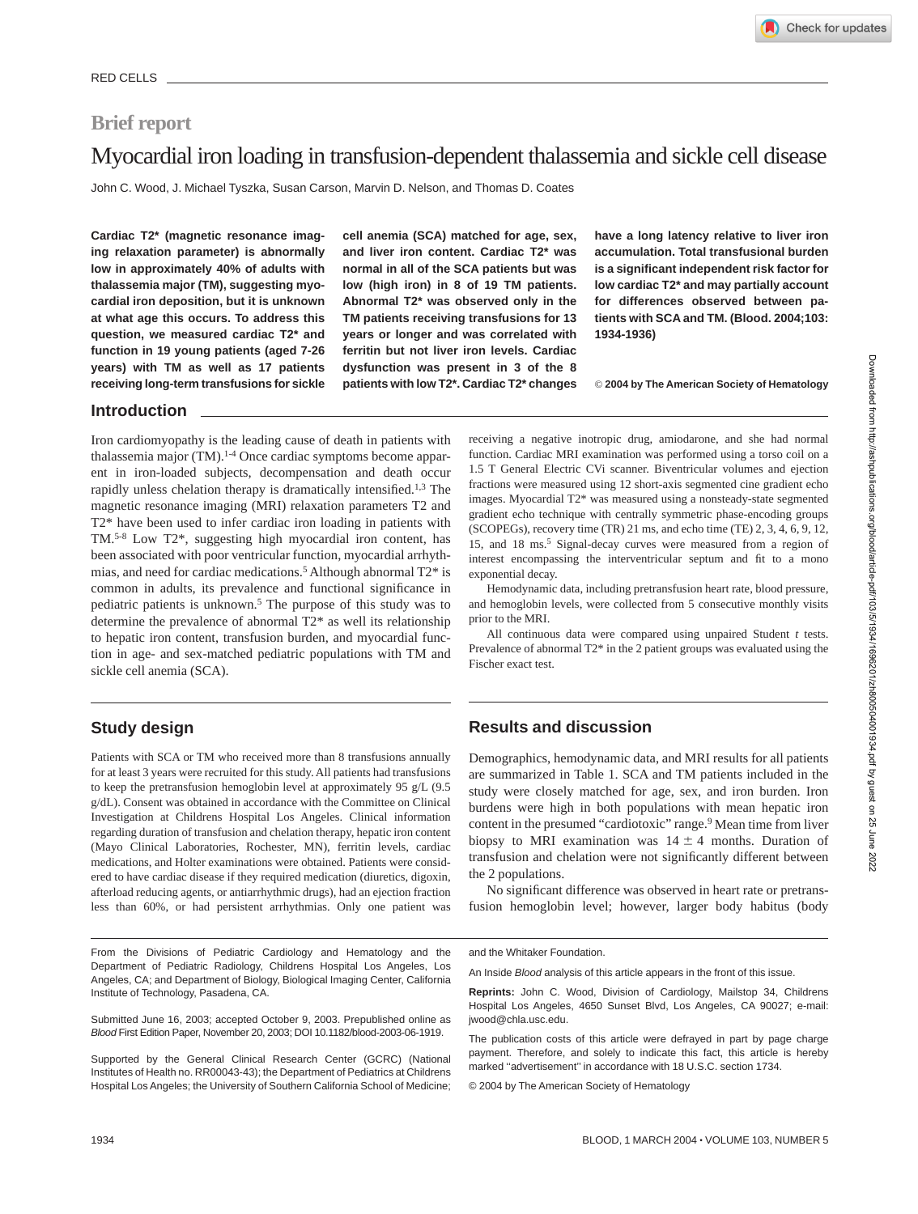## **Brief report**

# Myocardial iron loading in transfusion-dependent thalassemia and sickle cell disease

John C. Wood, J. Michael Tyszka, Susan Carson, Marvin D. Nelson, and Thomas D. Coates

**Cardiac T2\* (magnetic resonance imaging relaxation parameter) is abnormally low in approximately 40% of adults with thalassemia major (TM), suggesting myocardial iron deposition, but it is unknown at what age this occurs. To address this question, we measured cardiac T2\* and function in 19 young patients (aged 7-26 years) with TM as well as 17 patients receiving long-term transfusions for sickle** **cell anemia (SCA) matched for age, sex, and liver iron content. Cardiac T2\* was normal in all of the SCA patients but was low (high iron) in 8 of 19 TM patients. Abnormal T2\* was observed only in the TM patients receiving transfusions for 13 years or longer and was correlated with ferritin but not liver iron levels. Cardiac dysfunction was present in 3 of the 8 patients with low T2\*. Cardiac T2\* changes**

**have a long latency relative to liver iron accumulation. Total transfusional burden is a significant independent risk factor for low cardiac T2\* and may partially account for differences observed between patients with SCA and TM. (Blood. 2004;103: 1934-1936)**

© **2004 by The American Society of Hematology**

#### **Introduction**

Iron cardiomyopathy is the leading cause of death in patients with thalassemia major (TM).<sup>1-4</sup> Once cardiac symptoms become apparent in iron-loaded subjects, decompensation and death occur rapidly unless chelation therapy is dramatically intensified.<sup>1,3</sup> The magnetic resonance imaging (MRI) relaxation parameters T2 and T2\* have been used to infer cardiac iron loading in patients with TM.5-8 Low T2\*, suggesting high myocardial iron content, has been associated with poor ventricular function, myocardial arrhythmias, and need for cardiac medications.5 Although abnormal T2\* is common in adults, its prevalence and functional significance in pediatric patients is unknown.5 The purpose of this study was to determine the prevalence of abnormal T2\* as well its relationship to hepatic iron content, transfusion burden, and myocardial function in age- and sex-matched pediatric populations with TM and sickle cell anemia (SCA).

## **Study design**

Patients with SCA or TM who received more than 8 transfusions annually for at least 3 years were recruited for this study. All patients had transfusions to keep the pretransfusion hemoglobin level at approximately 95 g/L (9.5 g/dL). Consent was obtained in accordance with the Committee on Clinical Investigation at Childrens Hospital Los Angeles. Clinical information regarding duration of transfusion and chelation therapy, hepatic iron content (Mayo Clinical Laboratories, Rochester, MN), ferritin levels, cardiac medications, and Holter examinations were obtained. Patients were considered to have cardiac disease if they required medication (diuretics, digoxin, afterload reducing agents, or antiarrhythmic drugs), had an ejection fraction less than 60%, or had persistent arrhythmias. Only one patient was

From the Divisions of Pediatric Cardiology and Hematology and the Department of Pediatric Radiology, Childrens Hospital Los Angeles, Los Angeles, CA; and Department of Biology, Biological Imaging Center, California Institute of Technology, Pasadena, CA.

Submitted June 16, 2003; accepted October 9, 2003. Prepublished online as Blood First Edition Paper, November 20, 2003; DOI 10.1182/blood-2003-06-1919.

Supported by the General Clinical Research Center (GCRC) (National Institutes of Health no. RR00043-43); the Department of Pediatrics at Childrens Hospital Los Angeles; the University of Southern California School of Medicine;

receiving a negative inotropic drug, amiodarone, and she had normal function. Cardiac MRI examination was performed using a torso coil on a 1.5 T General Electric CVi scanner. Biventricular volumes and ejection fractions were measured using 12 short-axis segmented cine gradient echo images. Myocardial T2\* was measured using a nonsteady-state segmented gradient echo technique with centrally symmetric phase-encoding groups (SCOPEGs), recovery time (TR) 21 ms, and echo time (TE) 2, 3, 4, 6, 9, 12, 15, and 18 ms.5 Signal-decay curves were measured from a region of interest encompassing the interventricular septum and fit to a mono exponential decay.

Hemodynamic data, including pretransfusion heart rate, blood pressure, and hemoglobin levels, were collected from 5 consecutive monthly visits prior to the MRI.

All continuous data were compared using unpaired Student *t* tests. Prevalence of abnormal T2\* in the 2 patient groups was evaluated using the Fischer exact test.

## **Results and discussion**

Demographics, hemodynamic data, and MRI results for all patients are summarized in Table 1. SCA and TM patients included in the study were closely matched for age, sex, and iron burden. Iron burdens were high in both populations with mean hepatic iron content in the presumed "cardiotoxic" range.<sup>9</sup> Mean time from liver biopsy to MRI examination was  $14 \pm 4$  months. Duration of transfusion and chelation were not significantly different between the 2 populations.

No significant difference was observed in heart rate or pretransfusion hemoglobin level; however, larger body habitus (body

and the Whitaker Foundation.

An Inside Blood analysis of this article appears in the front of this issue.

The publication costs of this article were defrayed in part by page charge payment. Therefore, and solely to indicate this fact, this article is hereby marked "advertisement" in accordance with 18 U.S.C. section 1734.

© 2004 by The American Society of Hematology

**Reprints:** John C. Wood, Division of Cardiology, Mailstop 34, Childrens Hospital Los Angeles, 4650 Sunset Blvd, Los Angeles, CA 90027; e-mail: jwood@chla.usc.edu.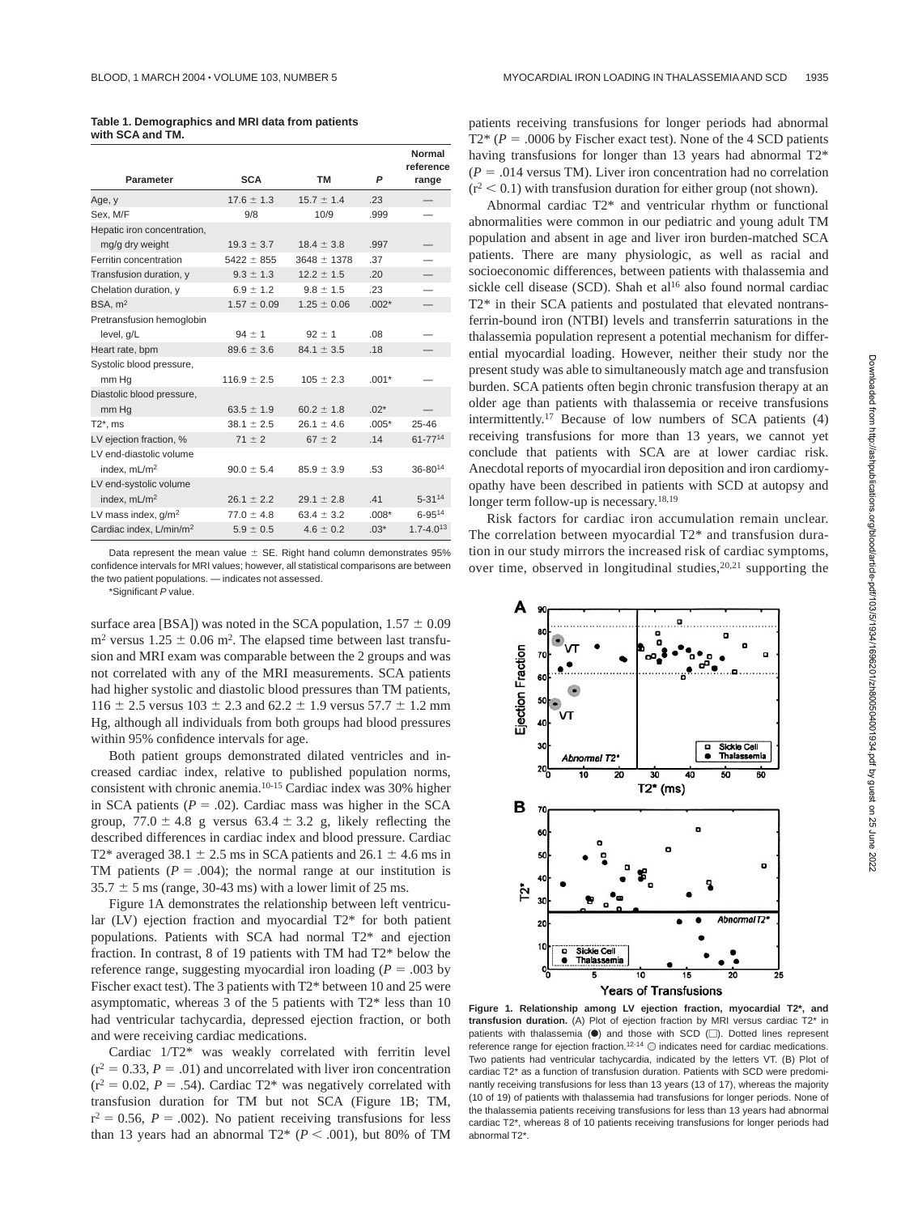| Table 1. Demographics and MRI data from patients |  |  |
|--------------------------------------------------|--|--|
| with SCA and TM.                                 |  |  |

|                                     |                 |                 |         | Normal<br>reference      |
|-------------------------------------|-----------------|-----------------|---------|--------------------------|
| Parameter                           | <b>SCA</b>      | <b>TM</b>       | P       | range                    |
| Age, y                              | $17.6 \pm 1.3$  | $15.7 \pm 1.4$  | .23     |                          |
| Sex, M/F                            | 9/8             | 10/9            | .999    |                          |
| Hepatic iron concentration,         |                 |                 |         |                          |
| mg/g dry weight                     | $19.3 \pm 3.7$  | $18.4 \pm 3.8$  | .997    | $\overline{\phantom{0}}$ |
| Ferritin concentration              | $5422 \pm 855$  | $3648 \pm 1378$ | .37     |                          |
| Transfusion duration, y             | $9.3 \pm 1.3$   | $12.2 \pm 1.5$  | .20     | —                        |
| Chelation duration, y               | $6.9 \pm 1.2$   | $9.8 \pm 1.5$   | .23     |                          |
| BSA. m <sup>2</sup>                 | $1.57 \pm 0.09$ | $1.25 \pm 0.06$ | $.002*$ |                          |
| Pretransfusion hemoglobin           |                 |                 |         |                          |
| level, q/L                          | $94 \pm 1$      | $92 \pm 1$      | .08     |                          |
| Heart rate, bpm                     | $89.6 \pm 3.6$  | $84.1 \pm 3.5$  | .18     |                          |
| Systolic blood pressure,            |                 |                 |         |                          |
| mm Hq                               | $116.9 \pm 2.5$ | $105 \pm 2.3$   | $.001*$ |                          |
| Diastolic blood pressure,           |                 |                 |         |                          |
| mm Hg                               | $63.5 \pm 1.9$  | $60.2 \pm 1.8$  | $.02*$  |                          |
| $T2^*$ , ms                         | $38.1 \pm 2.5$  | $26.1 \pm 4.6$  | $.005*$ | $25 - 46$                |
| LV ejection fraction, %             | $71 \pm 2$      | $67 \pm 2$      | .14     | 61-7714                  |
| LV end-diastolic volume             |                 |                 |         |                          |
| index, $mL/m2$                      | $90.0 \pm 5.4$  | $85.9 \pm 3.9$  | .53     | $36 - 80^{14}$           |
| LV end-systolic volume              |                 |                 |         |                          |
| index, mL/m <sup>2</sup>            | $26.1 \pm 2.2$  | $29.1 \pm 2.8$  | .41     | $5 - 3114$               |
| LV mass index, $q/m^2$              | $77.0 \pm 4.8$  | $63.4 \pm 3.2$  | $.008*$ | $6 - 95^{14}$            |
| Cardiac index, L/min/m <sup>2</sup> | $5.9 \pm 0.5$   | $4.6 \pm 0.2$   | $.03*$  | $1.7 - 4.013$            |

Data represent the mean value  $\pm$  SE. Right hand column demonstrates 95% confidence intervals for MRI values; however, all statistical comparisons are between the two patient populations. — indicates not assessed.

\*Significant P value.

surface area [BSA]) was noted in the SCA population,  $1.57 \pm 0.09$  $m<sup>2</sup>$  versus 1.25  $\pm$  0.06 m<sup>2</sup>. The elapsed time between last transfusion and MRI exam was comparable between the 2 groups and was not correlated with any of the MRI measurements. SCA patients had higher systolic and diastolic blood pressures than TM patients,  $116 \pm 2.5$  versus  $103 \pm 2.3$  and  $62.2 \pm 1.9$  versus  $57.7 \pm 1.2$  mm Hg, although all individuals from both groups had blood pressures within 95% confidence intervals for age.

Both patient groups demonstrated dilated ventricles and increased cardiac index, relative to published population norms, consistent with chronic anemia.10-15 Cardiac index was 30% higher in SCA patients  $(P = .02)$ . Cardiac mass was higher in the SCA group,  $77.0 \pm 4.8$  g versus  $63.4 \pm 3.2$  g, likely reflecting the described differences in cardiac index and blood pressure. Cardiac T2\* averaged 38.1  $\pm$  2.5 ms in SCA patients and 26.1  $\pm$  4.6 ms in TM patients  $(P = .004)$ ; the normal range at our institution is  $35.7 \pm 5$  ms (range, 30-43 ms) with a lower limit of 25 ms.

Figure 1A demonstrates the relationship between left ventricular (LV) ejection fraction and myocardial T2\* for both patient populations. Patients with SCA had normal T2\* and ejection fraction. In contrast, 8 of 19 patients with TM had T2\* below the reference range, suggesting myocardial iron loading ( $P = .003$  by Fischer exact test). The 3 patients with T2\* between 10 and 25 were asymptomatic, whereas 3 of the 5 patients with T2\* less than 10 had ventricular tachycardia, depressed ejection fraction, or both and were receiving cardiac medications.

Cardiac 1/T2\* was weakly correlated with ferritin level  $(r^2 = 0.33, P = .01)$  and uncorrelated with liver iron concentration  $(r^2 = 0.02, P = .54)$ . Cardiac T2\* was negatively correlated with transfusion duration for TM but not SCA (Figure 1B; TM,  $r^2 = 0.56$ ,  $P = .002$ ). No patient receiving transfusions for less than 13 years had an abnormal  $T2^*$  ( $P < .001$ ), but 80% of TM patients receiving transfusions for longer periods had abnormal  $T2*(P = .0006$  by Fischer exact test). None of the 4 SCD patients having transfusions for longer than 13 years had abnormal T2\*  $(P = .014$  versus TM). Liver iron concentration had no correlation  $(r^2 < 0.1)$  with transfusion duration for either group (not shown).

Abnormal cardiac T2\* and ventricular rhythm or functional abnormalities were common in our pediatric and young adult TM population and absent in age and liver iron burden-matched SCA patients. There are many physiologic, as well as racial and socioeconomic differences, between patients with thalassemia and sickle cell disease (SCD). Shah et al<sup>16</sup> also found normal cardiac T2\* in their SCA patients and postulated that elevated nontransferrin-bound iron (NTBI) levels and transferrin saturations in the thalassemia population represent a potential mechanism for differential myocardial loading. However, neither their study nor the present study was able to simultaneously match age and transfusion burden. SCA patients often begin chronic transfusion therapy at an older age than patients with thalassemia or receive transfusions intermittently.17 Because of low numbers of SCA patients (4) receiving transfusions for more than 13 years, we cannot yet conclude that patients with SCA are at lower cardiac risk. Anecdotal reports of myocardial iron deposition and iron cardiomyopathy have been described in patients with SCD at autopsy and longer term follow-up is necessary.18,19

Risk factors for cardiac iron accumulation remain unclear. The correlation between myocardial T2\* and transfusion duration in our study mirrors the increased risk of cardiac symptoms, over time, observed in longitudinal studies,  $20,21$  supporting the



**Figure 1. Relationship among LV ejection fraction, myocardial T2\*, and transfusion duration.** (A) Plot of ejection fraction by MRI versus cardiac T2\* in patients with thalassemia  $(①)$  and those with SCD  $(①)$ . Dotted lines represent reference range for ejection fraction.<sup>12-14</sup>  $\odot$  indicates need for cardiac medications. Two patients had ventricular tachycardia, indicated by the letters VT. (B) Plot of cardiac T2\* as a function of transfusion duration. Patients with SCD were predominantly receiving transfusions for less than 13 years (13 of 17), whereas the majority (10 of 19) of patients with thalassemia had transfusions for longer periods. None of the thalassemia patients receiving transfusions for less than 13 years had abnormal cardiac T2\*, whereas 8 of 10 patients receiving transfusions for longer periods had abnormal T2\*.